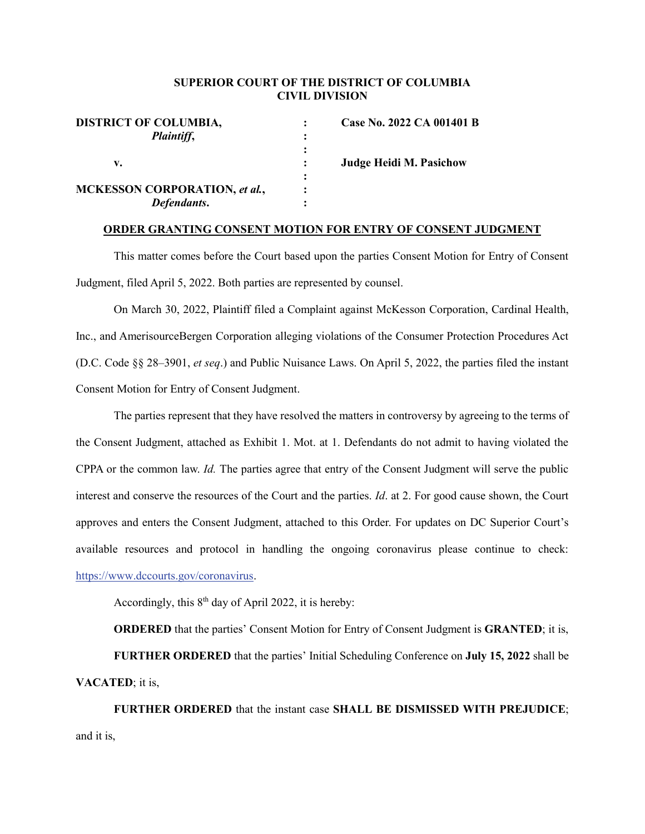## **SUPERIOR COURT OF THE DISTRICT OF COLUMBIA CIVIL DIVISION**

| <b>DISTRICT OF COLUMBIA,</b>         |   | Case No. 2022 CA 001401 B      |
|--------------------------------------|---|--------------------------------|
| Plaintiff,                           |   |                                |
|                                      |   |                                |
| v.                                   |   | <b>Judge Heidi M. Pasichow</b> |
|                                      | ٠ |                                |
| <b>MCKESSON CORPORATION, et al.,</b> |   |                                |
| Defendants.                          |   |                                |
|                                      |   |                                |

## **ORDER GRANTING CONSENT MOTION FOR ENTRY OF CONSENT JUDGMENT**

This matter comes before the Court based upon the parties Consent Motion for Entry of Consent Judgment, filed April 5, 2022. Both parties are represented by counsel.

On March 30, 2022, Plaintiff filed a Complaint against McKesson Corporation, Cardinal Health, Inc., and AmerisourceBergen Corporation alleging violations of the Consumer Protection Procedures Act (D.C. Code §§ 28–3901, *et seq*.) and Public Nuisance Laws. On April 5, 2022, the parties filed the instant Consent Motion for Entry of Consent Judgment.

The parties represent that they have resolved the matters in controversy by agreeing to the terms of the Consent Judgment, attached as Exhibit 1. Mot. at 1. Defendants do not admit to having violated the CPPA or the common law. *Id.* The parties agree that entry of the Consent Judgment will serve the public interest and conserve the resources of the Court and the parties. *Id*. at 2. For good cause shown, the Court approves and enters the Consent Judgment, attached to this Order. For updates on DC Superior Court's available resources and protocol in handling the ongoing coronavirus please continue to check: [https://www.dccourts.gov/coronavirus.](https://www.dccourts.gov/coronavirus)

Accordingly, this 8<sup>th</sup> day of April 2022, it is hereby:

**ORDERED** that the parties' Consent Motion for Entry of Consent Judgment is **GRANTED**; it is,

**FURTHER ORDERED** that the parties' Initial Scheduling Conference on **July 15, 2022** shall be **VACATED**; it is,

**FURTHER ORDERED** that the instant case **SHALL BE DISMISSED WITH PREJUDICE**; and it is,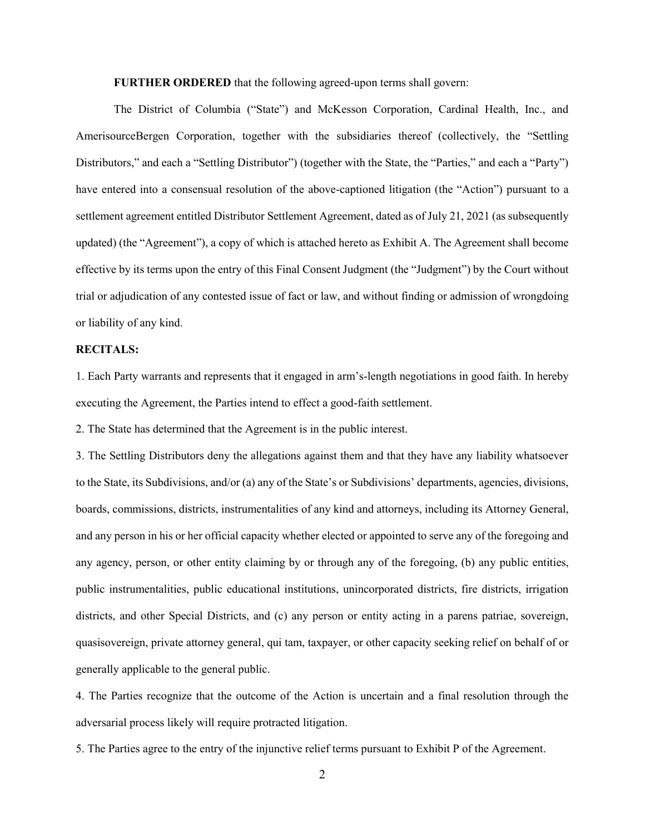**FURTHER ORDERED** that the following agreed-upon terms shall govern:

The District of Columbia ("State") and McKesson Corporation, Cardinal Health, Inc., and AmerisourceBergen Corporation, together with the subsidiaries thereof (collectively, the "Settling Distributors," and each a "Settling Distributor") (together with the State, the "Parties," and each a "Party") have entered into a consensual resolution of the above-captioned litigation (the "Action") pursuant to a settlement agreement entitled Distributor Settlement Agreement, dated as of July 21, 2021 (as subsequently updated) (the "Agreement"), a copy of which is attached hereto as Exhibit A. The Agreement shall become effective by its terms upon the entry of this Final Consent Judgment (the "Judgment") by the Court without trial or adjudication of any contested issue of fact or law, and without finding or admission of wrongdoing or liability of any kind.

## **RECITALS:**

1. Each Party warrants and represents that it engaged in arm's-length negotiations in good faith. In hereby executing the Agreement, the Parties intend to effect a good-faith settlement.

2. The State has determined that the Agreement is in the public interest.

3. The Settling Distributors deny the allegations against them and that they have any liability whatsoever to the State, its Subdivisions, and/or (a) any of the State's or Subdivisions' departments, agencies, divisions, boards, commissions, districts, instrumentalities of any kind and attorneys, including its Attorney General, and any person in his or her official capacity whether elected or appointed to serve any of the foregoing and any agency, person, or other entity claiming by or through any of the foregoing, (b) any public entities, public instrumentalities, public educational institutions, unincorporated districts, fire districts, irrigation districts, and other Special Districts, and (c) any person or entity acting in a parens patriae, sovereign, quasisovereign, private attorney general, qui tam, taxpayer, or other capacity seeking relief on behalf of or generally applicable to the general public.

4. The Parties recognize that the outcome of the Action is uncertain and a final resolution through the adversarial process likely will require protracted litigation.

5. The Parties agree to the entry of the injunctive relief terms pursuant to Exhibit P of the Agreement.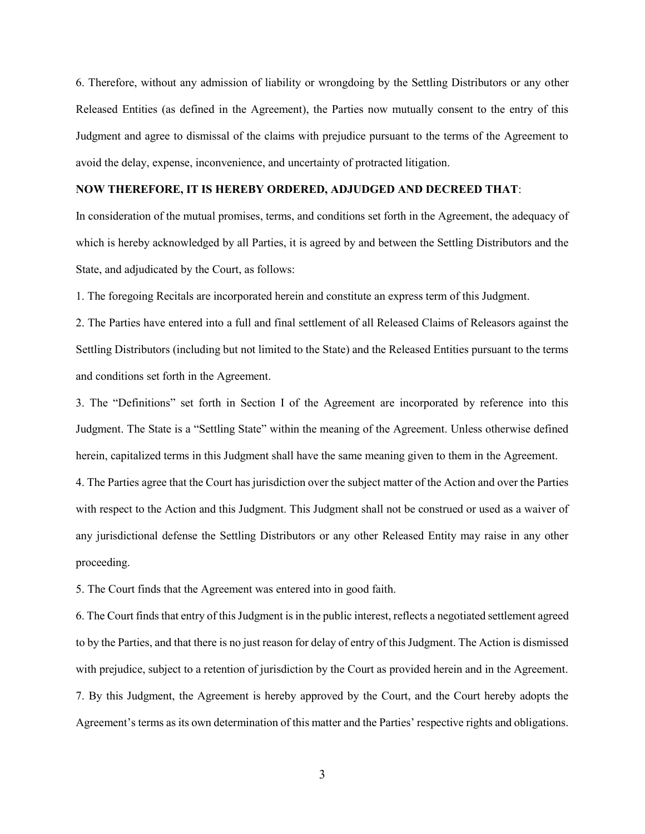6. Therefore, without any admission of liability or wrongdoing by the Settling Distributors or any other Released Entities (as defined in the Agreement), the Parties now mutually consent to the entry of this Judgment and agree to dismissal of the claims with prejudice pursuant to the terms of the Agreement to avoid the delay, expense, inconvenience, and uncertainty of protracted litigation.

## **NOW THEREFORE, IT IS HEREBY ORDERED, ADJUDGED AND DECREED THAT**:

In consideration of the mutual promises, terms, and conditions set forth in the Agreement, the adequacy of which is hereby acknowledged by all Parties, it is agreed by and between the Settling Distributors and the State, and adjudicated by the Court, as follows:

1. The foregoing Recitals are incorporated herein and constitute an express term of this Judgment.

2. The Parties have entered into a full and final settlement of all Released Claims of Releasors against the Settling Distributors (including but not limited to the State) and the Released Entities pursuant to the terms and conditions set forth in the Agreement.

3. The "Definitions" set forth in Section I of the Agreement are incorporated by reference into this Judgment. The State is a "Settling State" within the meaning of the Agreement. Unless otherwise defined herein, capitalized terms in this Judgment shall have the same meaning given to them in the Agreement.

4. The Parties agree that the Court has jurisdiction over the subject matter of the Action and over the Parties with respect to the Action and this Judgment. This Judgment shall not be construed or used as a waiver of any jurisdictional defense the Settling Distributors or any other Released Entity may raise in any other proceeding.

5. The Court finds that the Agreement was entered into in good faith.

6. The Court finds that entry of this Judgment is in the public interest, reflects a negotiated settlement agreed to by the Parties, and that there is no just reason for delay of entry of this Judgment. The Action is dismissed with prejudice, subject to a retention of jurisdiction by the Court as provided herein and in the Agreement. 7. By this Judgment, the Agreement is hereby approved by the Court, and the Court hereby adopts the Agreement's terms as its own determination of this matter and the Parties' respective rights and obligations.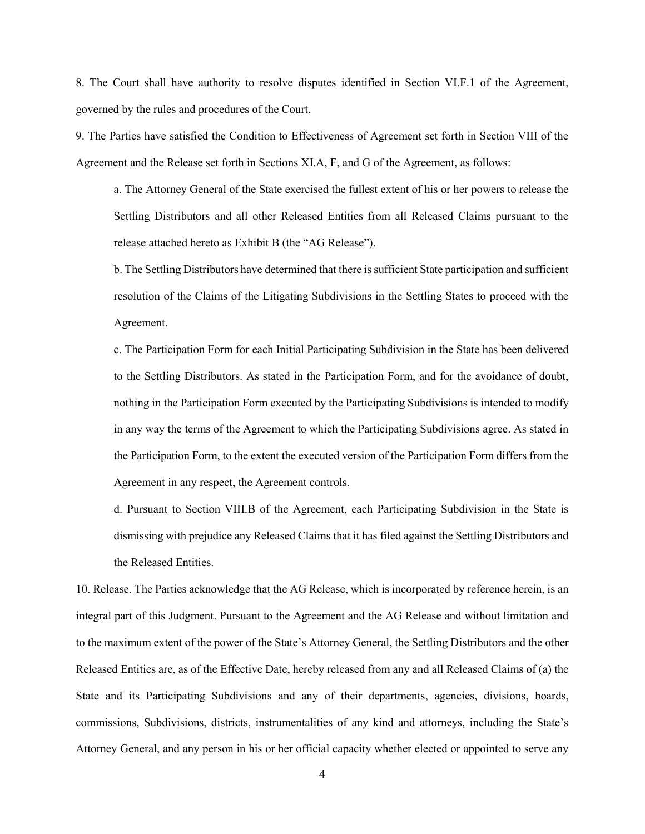8. The Court shall have authority to resolve disputes identified in Section VI.F.1 of the Agreement, governed by the rules and procedures of the Court.

9. The Parties have satisfied the Condition to Effectiveness of Agreement set forth in Section VIII of the Agreement and the Release set forth in Sections XI.A, F, and G of the Agreement, as follows:

a. The Attorney General of the State exercised the fullest extent of his or her powers to release the Settling Distributors and all other Released Entities from all Released Claims pursuant to the release attached hereto as Exhibit B (the "AG Release").

b. The Settling Distributors have determined that there is sufficient State participation and sufficient resolution of the Claims of the Litigating Subdivisions in the Settling States to proceed with the Agreement.

c. The Participation Form for each Initial Participating Subdivision in the State has been delivered to the Settling Distributors. As stated in the Participation Form, and for the avoidance of doubt, nothing in the Participation Form executed by the Participating Subdivisions is intended to modify in any way the terms of the Agreement to which the Participating Subdivisions agree. As stated in the Participation Form, to the extent the executed version of the Participation Form differs from the Agreement in any respect, the Agreement controls.

d. Pursuant to Section VIII.B of the Agreement, each Participating Subdivision in the State is dismissing with prejudice any Released Claims that it has filed against the Settling Distributors and the Released Entities.

10. Release. The Parties acknowledge that the AG Release, which is incorporated by reference herein, is an integral part of this Judgment. Pursuant to the Agreement and the AG Release and without limitation and to the maximum extent of the power of the State's Attorney General, the Settling Distributors and the other Released Entities are, as of the Effective Date, hereby released from any and all Released Claims of (a) the State and its Participating Subdivisions and any of their departments, agencies, divisions, boards, commissions, Subdivisions, districts, instrumentalities of any kind and attorneys, including the State's Attorney General, and any person in his or her official capacity whether elected or appointed to serve any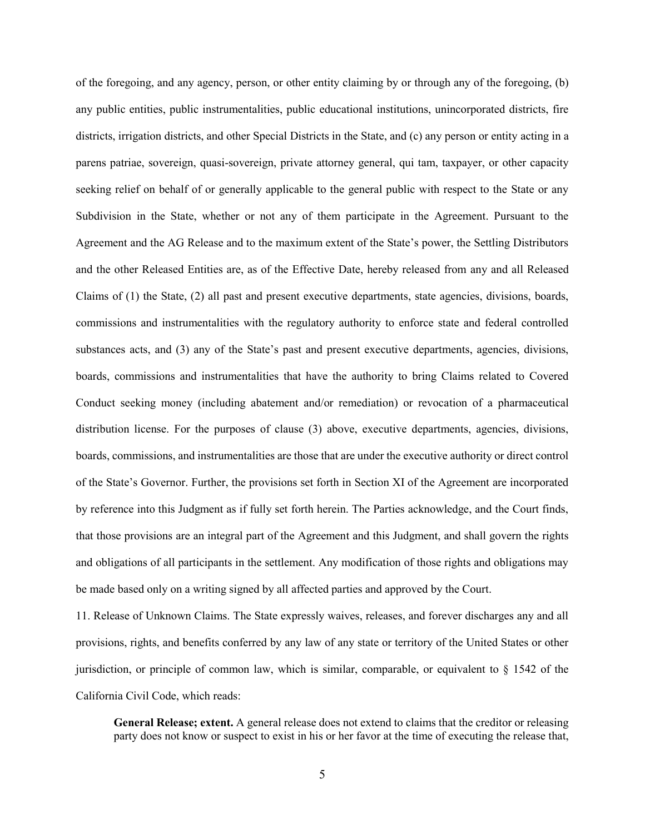of the foregoing, and any agency, person, or other entity claiming by or through any of the foregoing, (b) any public entities, public instrumentalities, public educational institutions, unincorporated districts, fire districts, irrigation districts, and other Special Districts in the State, and (c) any person or entity acting in a parens patriae, sovereign, quasi-sovereign, private attorney general, qui tam, taxpayer, or other capacity seeking relief on behalf of or generally applicable to the general public with respect to the State or any Subdivision in the State, whether or not any of them participate in the Agreement. Pursuant to the Agreement and the AG Release and to the maximum extent of the State's power, the Settling Distributors and the other Released Entities are, as of the Effective Date, hereby released from any and all Released Claims of (1) the State, (2) all past and present executive departments, state agencies, divisions, boards, commissions and instrumentalities with the regulatory authority to enforce state and federal controlled substances acts, and (3) any of the State's past and present executive departments, agencies, divisions, boards, commissions and instrumentalities that have the authority to bring Claims related to Covered Conduct seeking money (including abatement and/or remediation) or revocation of a pharmaceutical distribution license. For the purposes of clause (3) above, executive departments, agencies, divisions, boards, commissions, and instrumentalities are those that are under the executive authority or direct control of the State's Governor. Further, the provisions set forth in Section XI of the Agreement are incorporated by reference into this Judgment as if fully set forth herein. The Parties acknowledge, and the Court finds, that those provisions are an integral part of the Agreement and this Judgment, and shall govern the rights and obligations of all participants in the settlement. Any modification of those rights and obligations may be made based only on a writing signed by all affected parties and approved by the Court.

11. Release of Unknown Claims. The State expressly waives, releases, and forever discharges any and all provisions, rights, and benefits conferred by any law of any state or territory of the United States or other jurisdiction, or principle of common law, which is similar, comparable, or equivalent to § 1542 of the California Civil Code, which reads:

**General Release; extent.** A general release does not extend to claims that the creditor or releasing party does not know or suspect to exist in his or her favor at the time of executing the release that,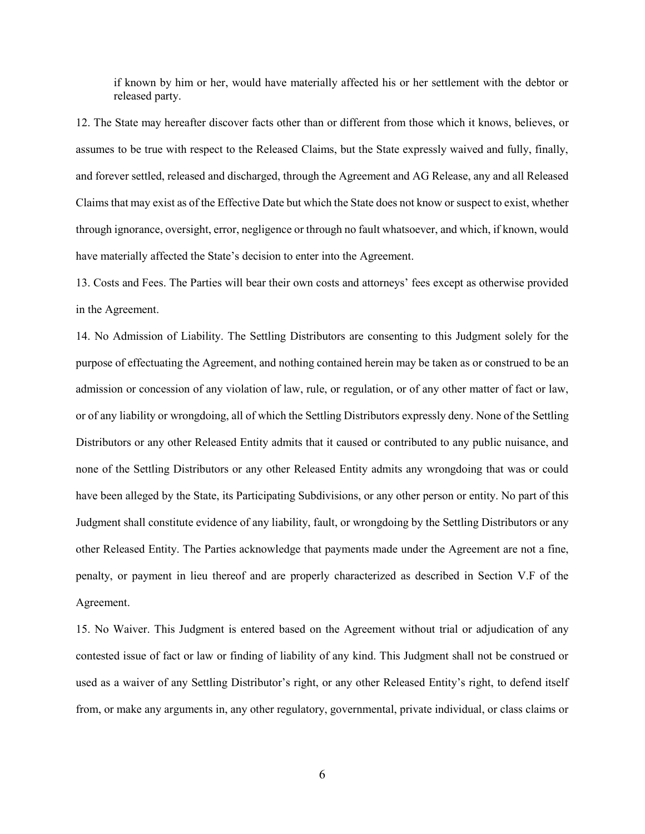if known by him or her, would have materially affected his or her settlement with the debtor or released party.

12. The State may hereafter discover facts other than or different from those which it knows, believes, or assumes to be true with respect to the Released Claims, but the State expressly waived and fully, finally, and forever settled, released and discharged, through the Agreement and AG Release, any and all Released Claims that may exist as of the Effective Date but which the State does not know or suspect to exist, whether through ignorance, oversight, error, negligence or through no fault whatsoever, and which, if known, would have materially affected the State's decision to enter into the Agreement.

13. Costs and Fees. The Parties will bear their own costs and attorneys' fees except as otherwise provided in the Agreement.

14. No Admission of Liability. The Settling Distributors are consenting to this Judgment solely for the purpose of effectuating the Agreement, and nothing contained herein may be taken as or construed to be an admission or concession of any violation of law, rule, or regulation, or of any other matter of fact or law, or of any liability or wrongdoing, all of which the Settling Distributors expressly deny. None of the Settling Distributors or any other Released Entity admits that it caused or contributed to any public nuisance, and none of the Settling Distributors or any other Released Entity admits any wrongdoing that was or could have been alleged by the State, its Participating Subdivisions, or any other person or entity. No part of this Judgment shall constitute evidence of any liability, fault, or wrongdoing by the Settling Distributors or any other Released Entity. The Parties acknowledge that payments made under the Agreement are not a fine, penalty, or payment in lieu thereof and are properly characterized as described in Section V.F of the Agreement.

15. No Waiver. This Judgment is entered based on the Agreement without trial or adjudication of any contested issue of fact or law or finding of liability of any kind. This Judgment shall not be construed or used as a waiver of any Settling Distributor's right, or any other Released Entity's right, to defend itself from, or make any arguments in, any other regulatory, governmental, private individual, or class claims or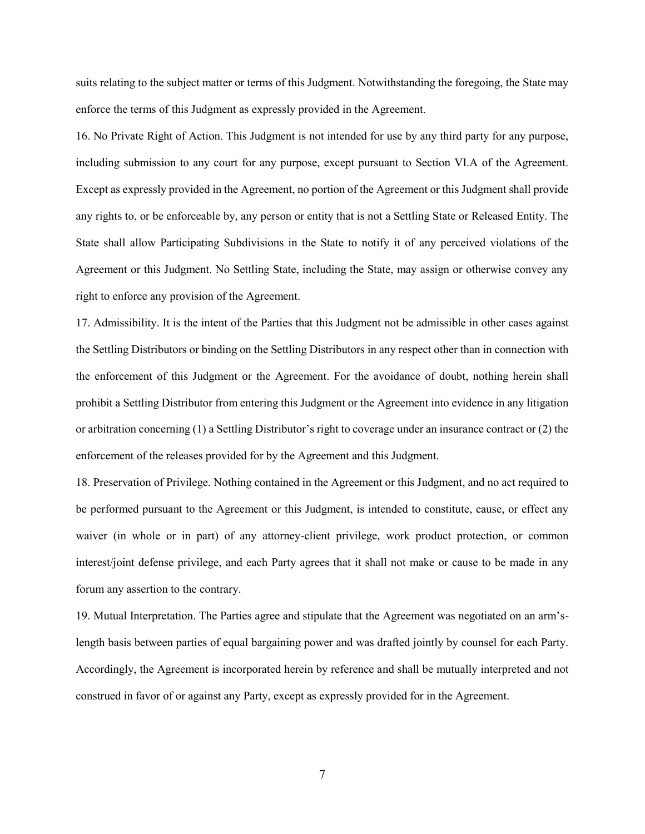suits relating to the subject matter or terms of this Judgment. Notwithstanding the foregoing, the State may enforce the terms of this Judgment as expressly provided in the Agreement.

16. No Private Right of Action. This Judgment is not intended for use by any third party for any purpose, including submission to any court for any purpose, except pursuant to Section VI.A of the Agreement. Except as expressly provided in the Agreement, no portion of the Agreement or this Judgment shall provide any rights to, or be enforceable by, any person or entity that is not a Settling State or Released Entity. The State shall allow Participating Subdivisions in the State to notify it of any perceived violations of the Agreement or this Judgment. No Settling State, including the State, may assign or otherwise convey any right to enforce any provision of the Agreement.

17. Admissibility. It is the intent of the Parties that this Judgment not be admissible in other cases against the Settling Distributors or binding on the Settling Distributors in any respect other than in connection with the enforcement of this Judgment or the Agreement. For the avoidance of doubt, nothing herein shall prohibit a Settling Distributor from entering this Judgment or the Agreement into evidence in any litigation or arbitration concerning (1) a Settling Distributor's right to coverage under an insurance contract or (2) the enforcement of the releases provided for by the Agreement and this Judgment.

18. Preservation of Privilege. Nothing contained in the Agreement or this Judgment, and no act required to be performed pursuant to the Agreement or this Judgment, is intended to constitute, cause, or effect any waiver (in whole or in part) of any attorney-client privilege, work product protection, or common interest/joint defense privilege, and each Party agrees that it shall not make or cause to be made in any forum any assertion to the contrary.

19. Mutual Interpretation. The Parties agree and stipulate that the Agreement was negotiated on an arm'slength basis between parties of equal bargaining power and was drafted jointly by counsel for each Party. Accordingly, the Agreement is incorporated herein by reference and shall be mutually interpreted and not construed in favor of or against any Party, except as expressly provided for in the Agreement.